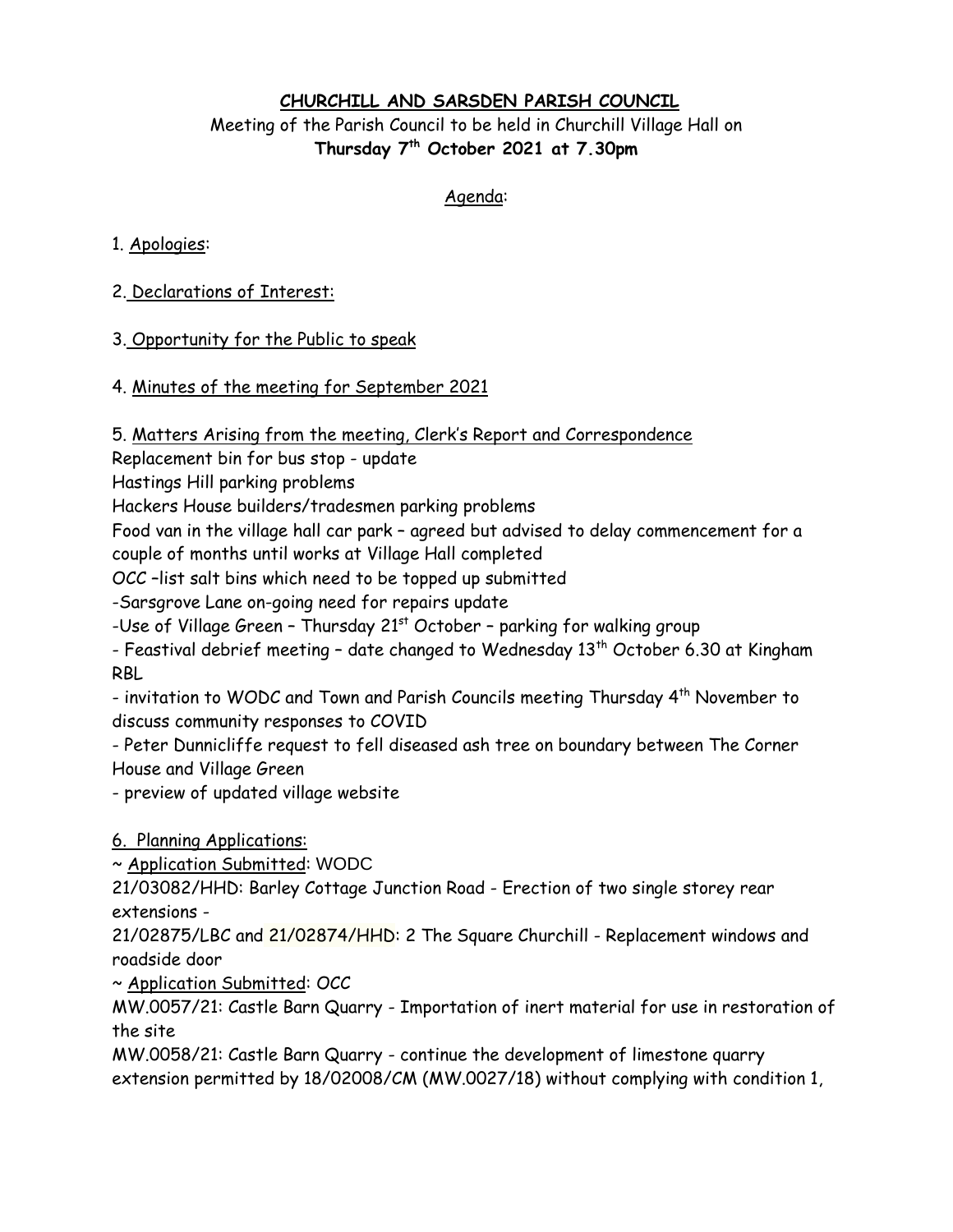# **CHURCHILL AND SARSDEN PARISH COUNCIL** Meeting of the Parish Council to be held in Churchill Village Hall on **Thursday 7 th October 2021 at 7.30pm**

#### Agenda:

### 1. Apologies:

# 2. Declarations of Interest:

## 3. Opportunity for the Public to speak

## 4. Minutes of the meeting for September 2021

5. Matters Arising from the meeting, Clerk's Report and Correspondence

Replacement bin for bus stop - update

Hastings Hill parking problems

Hackers House builders/tradesmen parking problems

Food van in the village hall car park – agreed but advised to delay commencement for a couple of months until works at Village Hall completed

OCC –list salt bins which need to be topped up submitted

-Sarsgrove Lane on-going need for repairs update

-Use of Village Green - Thursday  $21<sup>st</sup>$  October - parking for walking group

- Feastival debrief meeting - date changed to Wednesday  $13<sup>th</sup>$  October 6.30 at Kingham RBL

- invitation to WODC and Town and Parish Councils meeting Thursday 4<sup>th</sup> November to discuss community responses to COVID

- Peter Dunnicliffe request to fell diseased ash tree on boundary between The Corner House and Village Green

- preview of updated village website

6. Planning Applications:

~ Application Submitted: WODC

21/03082/HHD: Barley Cottage Junction Road - Erection of two single storey rear extensions -

21/02875/LBC and 21/02874/HHD: 2 The Square Churchill - [Replacement windows and](https://publicaccess.westoxon.gov.uk/online-applications/applicationDetails.do?keyVal=QYA66VRKHO900&activeTab=summary)  [roadside door](https://publicaccess.westoxon.gov.uk/online-applications/applicationDetails.do?keyVal=QYA66VRKHO900&activeTab=summary)

~ Application Submitted: OCC

MW.0057/21: Castle Barn Quarry - Importation of inert material for use in restoration of the site

MW.0058/21: Castle Barn Quarry - continue the development of limestone quarry extension permitted by 18/02008/CM (MW.0027/18) without complying with condition 1,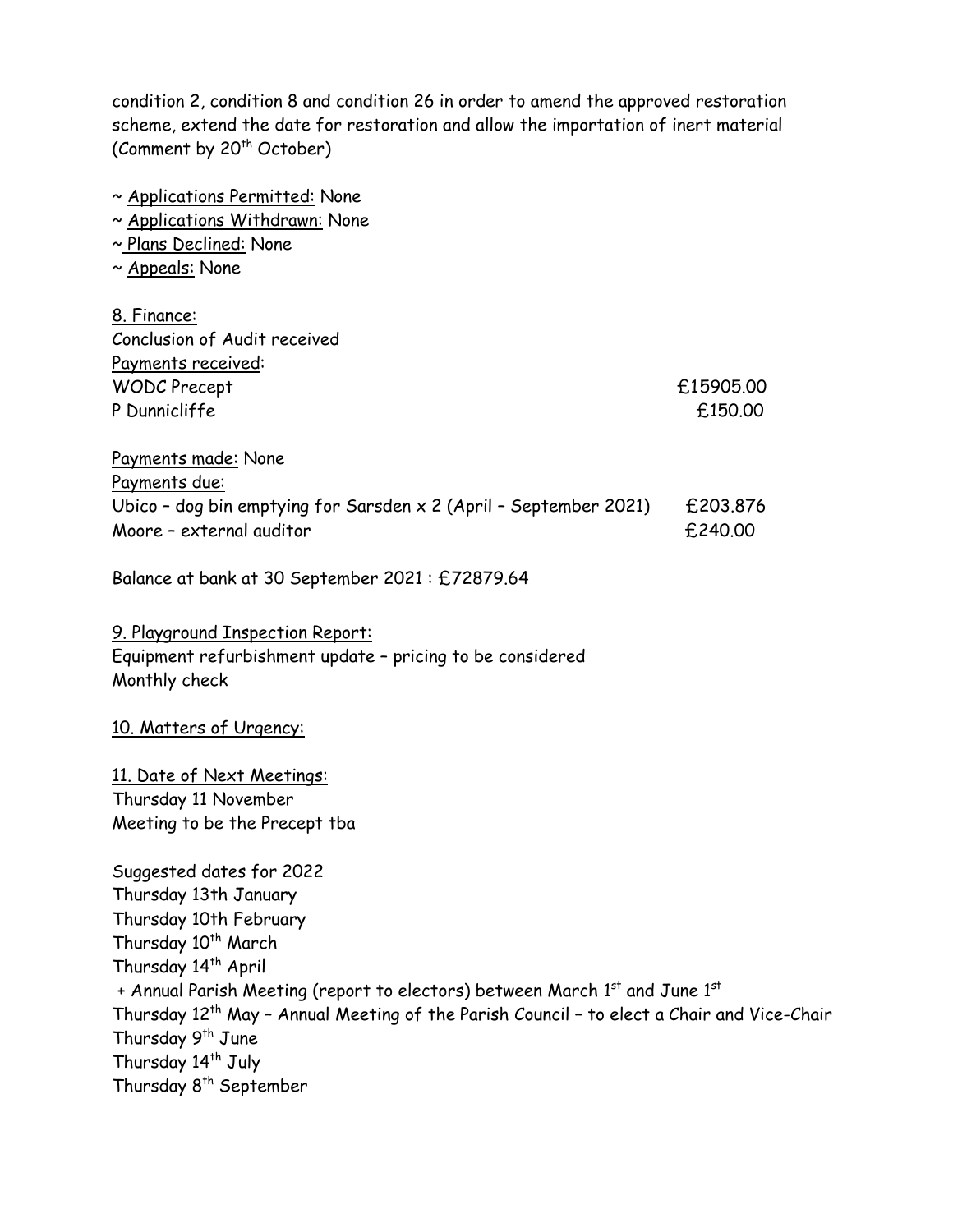condition 2, condition 8 and condition 26 in order to amend the approved restoration scheme, extend the date for restoration and allow the importation of inert material (Comment by 20<sup>th</sup> October)

| ~ Applications Permitted: None                                           |           |
|--------------------------------------------------------------------------|-----------|
| ~ Applications Withdrawn: None                                           |           |
| ~ Plans Declined: None                                                   |           |
| ~ Appeals: None                                                          |           |
|                                                                          |           |
| 8. Finance:                                                              |           |
| Conclusion of Audit received                                             |           |
| Payments received:                                                       |           |
| <b>WODC Precept</b>                                                      | £15905.00 |
| P Dunnicliffe                                                            | £150.00   |
|                                                                          |           |
| Payments made: None                                                      |           |
| Payments due:                                                            |           |
| Ubico - dog bin emptying for Sarsden $\times$ 2 (April - September 2021) | £203,876  |
| Moore - external auditor                                                 | £240.00   |
|                                                                          |           |
| Balance at bank at 30 September 2021: £72879.64                          |           |
|                                                                          |           |
| 9. Playground Inspection Report:                                         |           |
| Equipment refurbishment update - pricing to be considered                |           |
| Monthly check                                                            |           |
|                                                                          |           |
| 10. Matters of Urgency:                                                  |           |
|                                                                          |           |
| 11. Date of Next Meetings:                                               |           |
| Thursday 11 November                                                     |           |
| Meeting to be the Precept tba                                            |           |
|                                                                          |           |
| Suggested dates for 2022                                                 |           |
| Thursday 13th January                                                    |           |
| Thursday 10th February                                                   |           |
| Thursday 10 <sup>th</sup> March                                          |           |
| Thursday 14 <sup>th</sup> April                                          |           |

+ Annual Parish Meeting (report to electors) between March 1st and June 1st Thursday 12<sup>th</sup> May - Annual Meeting of the Parish Council - to elect a Chair and Vice-Chair Thursday 9<sup>th</sup> June Thursday 14<sup>th</sup> July

Thursday 8<sup>th</sup> September